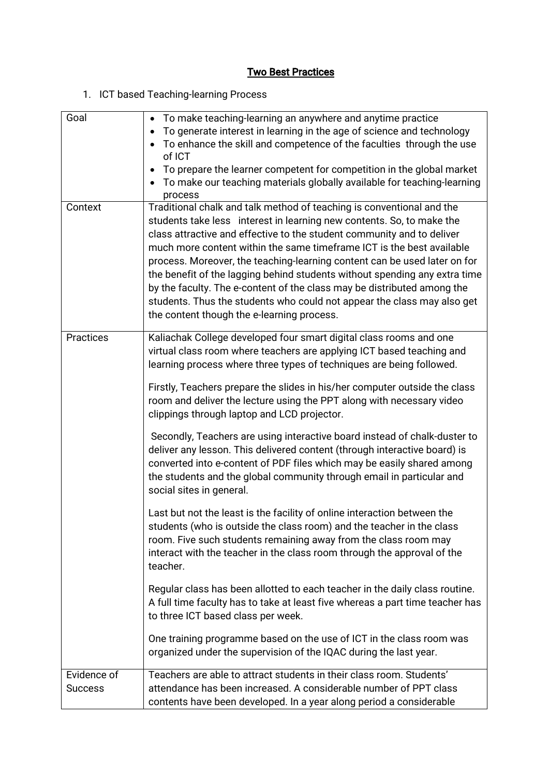## **Two Best Practices**

## 1. ICT based Teaching-learning Process

| Goal                          | • To make teaching-learning an anywhere and anytime practice<br>To generate interest in learning in the age of science and technology<br>To enhance the skill and competence of the faculties through the use<br>of ICT<br>To prepare the learner competent for competition in the global market<br>To make our teaching materials globally available for teaching-learning<br>process                                                                                                                                                                                                                                                                                                                                                                             |
|-------------------------------|--------------------------------------------------------------------------------------------------------------------------------------------------------------------------------------------------------------------------------------------------------------------------------------------------------------------------------------------------------------------------------------------------------------------------------------------------------------------------------------------------------------------------------------------------------------------------------------------------------------------------------------------------------------------------------------------------------------------------------------------------------------------|
| Context                       | Traditional chalk and talk method of teaching is conventional and the<br>students take less interest in learning new contents. So, to make the<br>class attractive and effective to the student community and to deliver<br>much more content within the same timeframe ICT is the best available<br>process. Moreover, the teaching-learning content can be used later on for<br>the benefit of the lagging behind students without spending any extra time<br>by the faculty. The e-content of the class may be distributed among the<br>students. Thus the students who could not appear the class may also get<br>the content though the e-learning process.                                                                                                   |
| Practices                     | Kaliachak College developed four smart digital class rooms and one<br>virtual class room where teachers are applying ICT based teaching and<br>learning process where three types of techniques are being followed.<br>Firstly, Teachers prepare the slides in his/her computer outside the class<br>room and deliver the lecture using the PPT along with necessary video<br>clippings through laptop and LCD projector.<br>Secondly, Teachers are using interactive board instead of chalk-duster to<br>deliver any lesson. This delivered content (through interactive board) is<br>converted into e-content of PDF files which may be easily shared among<br>the students and the global community through email in particular and<br>social sites in general. |
|                               | Last but not the least is the facility of online interaction between the<br>students (who is outside the class room) and the teacher in the class<br>room. Five such students remaining away from the class room may<br>interact with the teacher in the class room through the approval of the<br>teacher.<br>Regular class has been allotted to each teacher in the daily class routine.<br>A full time faculty has to take at least five whereas a part time teacher has                                                                                                                                                                                                                                                                                        |
|                               | to three ICT based class per week.<br>One training programme based on the use of ICT in the class room was<br>organized under the supervision of the IQAC during the last year.                                                                                                                                                                                                                                                                                                                                                                                                                                                                                                                                                                                    |
| Evidence of<br><b>Success</b> | Teachers are able to attract students in their class room. Students'<br>attendance has been increased. A considerable number of PPT class<br>contents have been developed. In a year along period a considerable                                                                                                                                                                                                                                                                                                                                                                                                                                                                                                                                                   |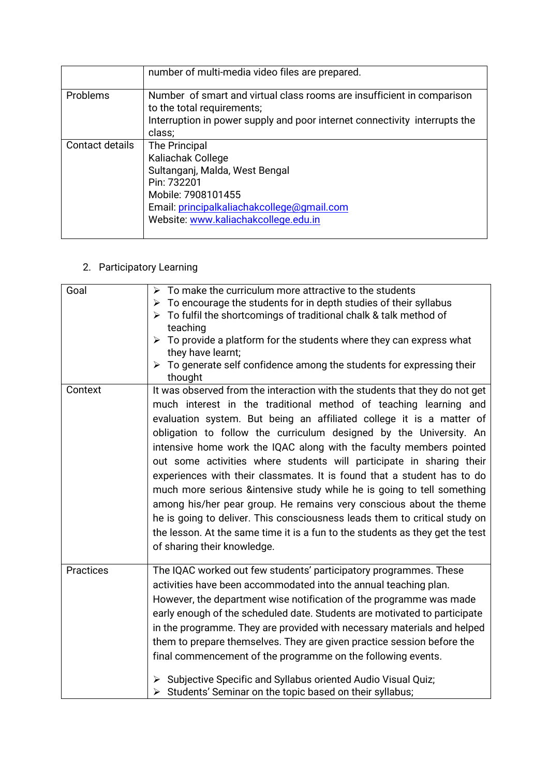|                 | number of multi-media video files are prepared.                                                                                                                                                 |
|-----------------|-------------------------------------------------------------------------------------------------------------------------------------------------------------------------------------------------|
| Problems        | Number of smart and virtual class rooms are insufficient in comparison<br>to the total requirements;<br>Interruption in power supply and poor internet connectivity interrupts the<br>class;    |
| Contact details | The Principal<br>Kaliachak College<br>Sultanganj, Malda, West Bengal<br>Pin: 732201<br>Mobile: 7908101455<br>Email: principalkaliachakcollege@gmail.com<br>Website: www.kaliachakcollege.edu.in |

## 2. Participatory Learning

| Goal             | $\triangleright$ To make the curriculum more attractive to the students<br>To encourage the students for in depth studies of their syllabus<br>➤<br>To fulfil the shortcomings of traditional chalk & talk method of<br>⋗<br>teaching<br>$\triangleright$ To provide a platform for the students where they can express what<br>they have learnt;<br>To generate self confidence among the students for expressing their<br>➤<br>thought                                                                                                                                                                                                                                                                                                                                                                                                                               |
|------------------|------------------------------------------------------------------------------------------------------------------------------------------------------------------------------------------------------------------------------------------------------------------------------------------------------------------------------------------------------------------------------------------------------------------------------------------------------------------------------------------------------------------------------------------------------------------------------------------------------------------------------------------------------------------------------------------------------------------------------------------------------------------------------------------------------------------------------------------------------------------------|
| Context          | It was observed from the interaction with the students that they do not get<br>much interest in the traditional method of teaching learning and<br>evaluation system. But being an affiliated college it is a matter of<br>obligation to follow the curriculum designed by the University. An<br>intensive home work the IQAC along with the faculty members pointed<br>out some activities where students will participate in sharing their<br>experiences with their classmates. It is found that a student has to do<br>much more serious &intensive study while he is going to tell something<br>among his/her pear group. He remains very conscious about the theme<br>he is going to deliver. This consciousness leads them to critical study on<br>the lesson. At the same time it is a fun to the students as they get the test<br>of sharing their knowledge. |
| <b>Practices</b> | The IQAC worked out few students' participatory programmes. These<br>activities have been accommodated into the annual teaching plan.<br>However, the department wise notification of the programme was made<br>early enough of the scheduled date. Students are motivated to participate<br>in the programme. They are provided with necessary materials and helped<br>them to prepare themselves. They are given practice session before the<br>final commencement of the programme on the following events.<br>> Subjective Specific and Syllabus oriented Audio Visual Quiz;<br>> Students' Seminar on the topic based on their syllabus;                                                                                                                                                                                                                          |